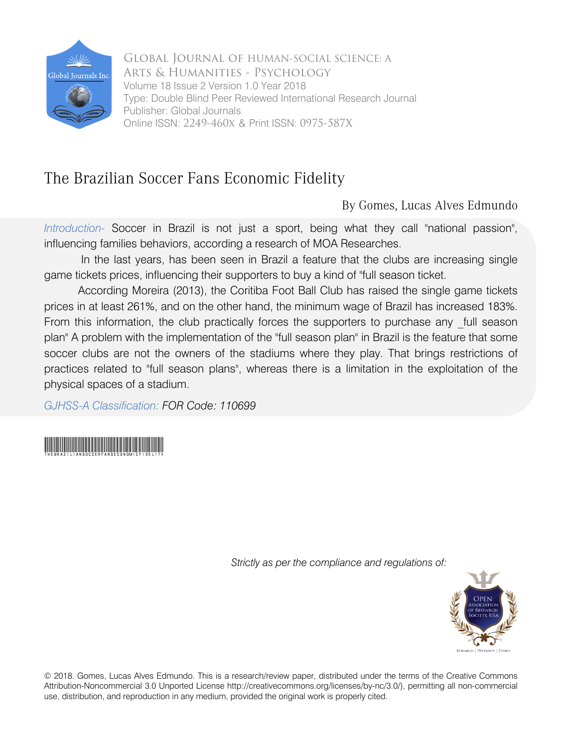

 Arts & Humanities - Psychology Volume 18 Issue 2 Version 1.0 Year 2018 Online ISSN: 2249-460x & Print ISSN: 0975-587X Global Journal of HUMAN-SOCIAL SCIENCE: A Type: Double Blind Peer Reviewed International Research Journal Publisher: Global Journals

## The Brazilian Soccer Fans Economic Fidelity

By Gomes, Lucas Alves Edmundo

*Introduction-* Soccer in Brazil is not just a sport, being what they call "national passion", influencing families behaviors, according a research of MOA Researches.

In the last years, has been seen in Brazil a feature that the clubs are increasing single game tickets prices, influencing their supporters to buy a kind of "full season ticket.

According Moreira (2013), the Coritiba Foot Ball Club has raised the single game tickets prices in at least 261%, and on the other hand, the minimum wage of Brazil has increased 183%. From this information, the club practically forces the supporters to purchase any full season plan" A problem with the implementation of the "full season plan" in Brazil is the feature that some soccer clubs are not the owners of the stadiums where they play. That brings restrictions of practices related to "full season plans", whereas there is a limitation in the exploitation of the physical spaces of a stadium.

*GJHSS-A Classification: FOR Code: 110699*



 *Strictly as per the compliance and regulations of:*



© 2018. Gomes, Lucas Alves Edmundo. This is a research/review paper, distributed under the terms of the Creative Commons Attribution-Noncommercial 3.0 Unported License http://creativecommons.org/licenses/by-nc/3.0/), permitting all non-commercial use, distribution, and reproduction in any medium, provided the original work is properly cited.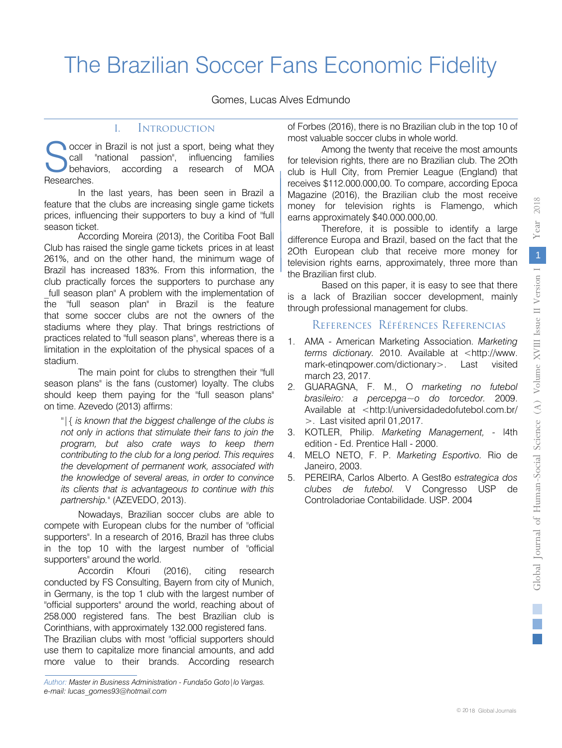## The Brazilian Soccer Fans Economic Fidelity

Gomes, Lucas Alves Edmundo

## I. Introduction

**occer in Brazil is not just a sport, being what they** call "national passion", influencing families behaviors, according a research of MOA Researches. S

In the last years, has been seen in Brazil a feature that the clubs are increasing single game tickets prices, influencing their supporters to buy a kind of "full season ticket.

 Brazil has increased 183%. From this information, the According Moreira (2013), the Coritiba Foot Ball Club has raised the single game tickets prices in at least 261%, and on the other hand, the minimum wage of club practically forces the supporters to purchase any full season plan" A problem with the implementation of the "full season plan" in Brazil is the feature that some soccer clubs are not the owners of the stadiums where they play. That brings restrictions of practices related to "full season plans", whereas there is a limitation in the exploitation of the physical spaces of a stadium.

The main point for clubs to strengthen their "full season plans" is the fans (customer) loyalty. The clubs should keep them paying for the "full season plans" on time. Azevedo (2013) affirms:

*"|{ is known that the biggest challenge of the clubs is not only in actions that stimulate their fans to join the program, but also crate ways to keep them contributing to the club for a long period. This requires the development of permanent work, associated with the knowledge of several areas, in order to convince its clients that is advantageous to continue with this partnership."* (AZEVEDO, 2013).

Nowadays, Brazilian soccer clubs are able to compete with European clubs for the number of "official supporters". In a research of 2016, Brazil has three clubs in the top 10 with the largest number of "official supporters" around the world.

Accordin Kfouri (2016), citing research conducted by FS Consulting, Bayern from city of Munich, in Germany, is the top 1 club with the largest number of "official supporters" around the world, reaching about of 258.000 registered fans. The best Brazilian club is Corinthians, with approximately 132.000 registered fans.

The Brazilian clubs with most "official supporters should use them to capitalize more financial amounts, and add more value to their brands. According research

of Forbes (2016), there is no Brazilian club in the top 10 of most valuable soccer clubs in whole world.

Among the twenty that receive the most amounts for television rights, there are no Brazilian club. The 2Oth club is Hull City, from Premier League (England) that receives \$112.000.000,00. To compare, according Epoca Magazine (2016), the Brazilian club the most receive money for television rights is Flamengo, which earns approximately \$40.000.000,00.

Therefore, it is possible to identify a large difference Europa and Brazil, based on the fact that the 2Oth European club that receive more money for television rights earns, approximately, three more than the Brazilian first club.

Based on this paper, it is easy to see that there is a lack of Brazilian soccer development, mainly through professional management for clubs.

## References Références Referencias

- 1. AMA American Marketing Association. *Marketing terms dictionary.* 2010. Available at <http://www. mark-etinqpower.com/dictionary>. Last visited march 23, 2017.
- 2. GUARAGNA, F. M., O *marketing no futebol brasileiro: a percepga~o do torcedor.* 2009. Available at <http:l/universidadedofutebol.com.br/ >. Last visited april 01,2017.
- 3. KOTLER, Philip. *Marketing Management,* l4th edition - Ed. Prentice Hall - 2000.
- 4. MELO NETO, F. P. *Marketing Esportivo.* Rio de Janeiro, 2003.
- 5. PEREIRA, Carlos Alberto. A Gest8o *estrategica dos clubes de futebol.* V Congresso USP de Controladoriae Contabilidade. USP. 2004

*Author: Master in Business Administration - Funda5o Goto|lo Vargas. e-mail: lucas\_gomes93@hotmail.com*